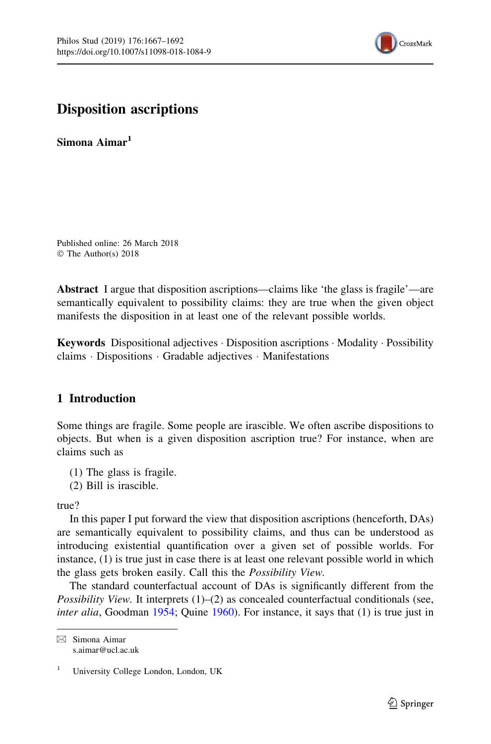

# Disposition ascriptions

Simona Aimar<sup>1</sup>

Published online: 26 March 2018 © The Author(s) 2018

Abstract I argue that disposition ascriptions—claims like 'the glass is fragile'—are semantically equivalent to possibility claims: they are true when the given object manifests the disposition in at least one of the relevant possible worlds.

Keywords Dispositional adjectives · Disposition ascriptions · Modality · Possibility claims - Dispositions - Gradable adjectives - Manifestations

# 1 Introduction

Some things are fragile. Some people are irascible. We often ascribe dispositions to objects. But when is a given disposition ascription true? For instance, when are claims such as

- (1) The glass is fragile.
- (2) Bill is irascible.

true?

In this paper I put forward the view that disposition ascriptions (henceforth, DAs) are semantically equivalent to possibility claims, and thus can be understood as introducing existential quantification over a given set of possible worlds. For instance, (1) is true just in case there is at least one relevant possible world in which the glass gets broken easily. Call this the Possibility View.

The standard counterfactual account of DAs is significantly different from the Possibility View. It interprets (1)–(2) as concealed counterfactual conditionals (see, inter alia, Goodman [1954](#page-23-0); Quine [1960\)](#page-24-0). For instance, it says that (1) is true just in

 $\boxtimes$  Simona Aimar s.aimar@ucl.ac.uk

<sup>&</sup>lt;sup>1</sup> University College London, London, UK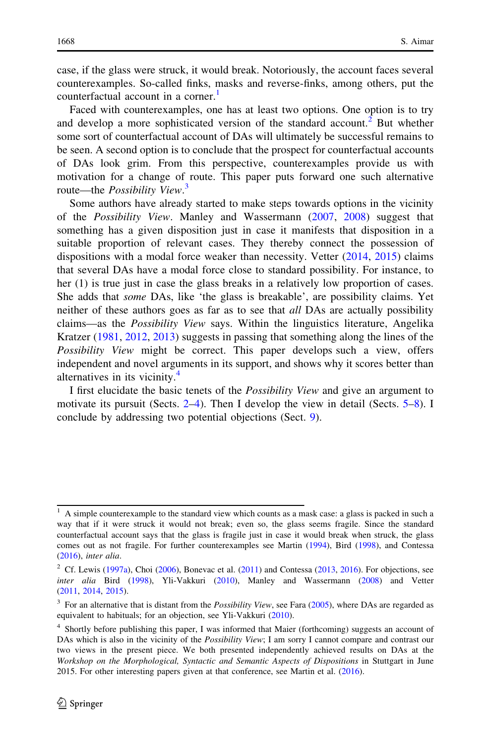case, if the glass were struck, it would break. Notoriously, the account faces several counterexamples. So-called finks, masks and reverse-finks, among others, put the counterfactual account in a corner.<sup>1</sup>

Faced with counterexamples, one has at least two options. One option is to try and develop a more sophisticated version of the standard account.<sup>2</sup> But whether some sort of counterfactual account of DAs will ultimately be successful remains to be seen. A second option is to conclude that the prospect for counterfactual accounts of DAs look grim. From this perspective, counterexamples provide us with motivation for a change of route. This paper puts forward one such alternative route—the *Possibility View*.<sup>3</sup>

Some authors have already started to make steps towards options in the vicinity of the Possibility View. Manley and Wassermann [\(2007](#page-24-0), [2008\)](#page-24-0) suggest that something has a given disposition just in case it manifests that disposition in a suitable proportion of relevant cases. They thereby connect the possession of dispositions with a modal force weaker than necessity. Vetter ([2014,](#page-24-0) [2015\)](#page-25-0) claims that several DAs have a modal force close to standard possibility. For instance, to her (1) is true just in case the glass breaks in a relatively low proportion of cases. She adds that some DAs, like 'the glass is breakable', are possibility claims. Yet neither of these authors goes as far as to see that *all* DAs are actually possibility claims—as the Possibility View says. Within the linguistics literature, Angelika Kratzer ([1981,](#page-24-0) [2012,](#page-24-0) [2013\)](#page-24-0) suggests in passing that something along the lines of the Possibility View might be correct. This paper develops such a view, offers independent and novel arguments in its support, and shows why it scores better than alternatives in its vicinity.<sup>4</sup>

I first elucidate the basic tenets of the Possibility View and give an argument to motivate its pursuit (Sects. [2](#page-2-0)[–4](#page-5-0)). Then I develop the view in detail (Sects. [5–](#page-8-0)[8\)](#page-15-0). I conclude by addressing two potential objections (Sect. [9\)](#page-20-0).

 $1$  A simple counterexample to the standard view which counts as a mask case: a glass is packed in such a way that if it were struck it would not break; even so, the glass seems fragile. Since the standard counterfactual account says that the glass is fragile just in case it would break when struck, the glass comes out as not fragile. For further counterexamples see Martin ([1994](#page-24-0)), Bird ([1998\)](#page-23-0), and Contessa ([2016\)](#page-23-0), inter alia.

<sup>&</sup>lt;sup>2</sup> Cf. Lewis ([1997a](#page-24-0)), Choi ([2006\)](#page-23-0), Bonevac et al. ([2011\)](#page-23-0) and Contessa [\(2013](#page-23-0), [2016\)](#page-23-0). For objections, see inter alia Bird [\(1998](#page-23-0)), Yli-Vakkuri [\(2010\)](#page-25-0), Manley and Wassermann ([2008\)](#page-24-0) and Vetter ([2011,](#page-24-0) [2014](#page-24-0), [2015\)](#page-25-0).

 $3$  For an alternative that is distant from the *Possibility View*, see Fara ([2005\)](#page-23-0), where DAs are regarded as equivalent to habituals; for an objection, see Yli-Vakkuri [\(2010\)](#page-25-0).

<sup>&</sup>lt;sup>4</sup> Shortly before publishing this paper, I was informed that Maier (forthcoming) suggests an account of DAs which is also in the vicinity of the *Possibility View*; I am sorry I cannot compare and contrast our two views in the present piece. We both presented independently achieved results on DAs at the Workshop on the Morphological, Syntactic and Semantic Aspects of Dispositions in Stuttgart in June 2015. For other interesting papers given at that conference, see Martin et al. ([2016\)](#page-24-0).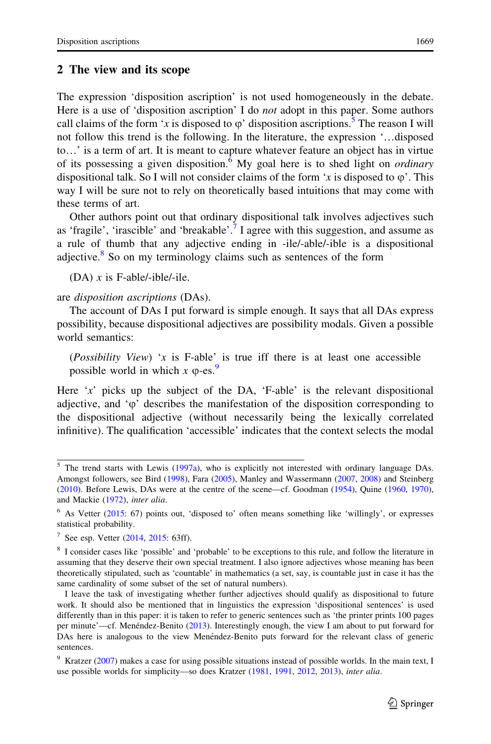# <span id="page-2-0"></span>2 The view and its scope

The expression 'disposition ascription' is not used homogeneously in the debate. Here is a use of 'disposition ascription' I do *not* adopt in this paper. Some authors call claims of the form 'x is disposed to  $\varphi$ ' disposition ascriptions.<sup>5</sup> The reason I will not follow this trend is the following. In the literature, the expression '…disposed to…' is a term of art. It is meant to capture whatever feature an object has in virtue of its possessing a given disposition.<sup>6</sup> My goal here is to shed light on *ordinary* dispositional talk. So I will not consider claims of the form 'x is disposed to  $\varphi'$ . This way I will be sure not to rely on theoretically based intuitions that may come with these terms of art.

Other authors point out that ordinary dispositional talk involves adjectives such as 'fragile', 'irascible' and 'breakable'.<sup>7</sup> I agree with this suggestion, and assume as a rule of thumb that any adjective ending in -ile/-able/-ible is a dispositional adjective.<sup>8</sup> So on my terminology claims such as sentences of the form

(DA)  $x$  is F-able/-ible/-ile.

are disposition ascriptions (DAs).

The account of DAs I put forward is simple enough. It says that all DAs express possibility, because dispositional adjectives are possibility modals. Given a possible world semantics:

(*Possibility View*) 'x is F-able' is true iff there is at least one accessible possible world in which  $x \varphi$ -es.<sup>9</sup>

Here  $x'$  picks up the subject of the DA, 'F-able' is the relevant dispositional adjective, and ' $\varphi$ ' describes the manifestation of the disposition corresponding to the dispositional adjective (without necessarily being the lexically correlated infinitive). The qualification 'accessible' indicates that the context selects the modal

<sup>&</sup>lt;sup>5</sup> The trend starts with Lewis ([1997a](#page-24-0)), who is explicitly not interested with ordinary language DAs. Amongst followers, see Bird [\(1998](#page-23-0)), Fara ([2005\)](#page-23-0), Manley and Wassermann [\(2007](#page-24-0), [2008\)](#page-24-0) and Steinberg ([2010\)](#page-24-0). Before Lewis, DAs were at the centre of the scene—cf. Goodman [\(1954](#page-23-0)), Quine [\(1960](#page-24-0), [1970\)](#page-24-0), and Mackie [\(1972](#page-24-0)), inter alia.

 $6$  As Vetter ([2015:](#page-25-0) 67) points out, 'disposed to' often means something like 'willingly', or expresses statistical probability.

<sup>&</sup>lt;sup>7</sup> See esp. Vetter  $(2014, 2015, 63$  $(2014, 2015, 63$  $(2014, 2015, 63$  $(2014, 2015, 63$  $(2014, 2015, 63$ ff).

<sup>8</sup> I consider cases like 'possible' and 'probable' to be exceptions to this rule, and follow the literature in assuming that they deserve their own special treatment. I also ignore adjectives whose meaning has been theoretically stipulated, such as 'countable' in mathematics (a set, say, is countable just in case it has the same cardinality of some subset of the set of natural numbers).

I leave the task of investigating whether further adjectives should qualify as dispositional to future work. It should also be mentioned that in linguistics the expression 'dispositional sentences' is used differently than in this paper: it is taken to refer to generic sentences such as 'the printer prints 100 pages per minute'—cf. Menéndez-Benito [\(2013](#page-24-0)). Interestingly enough, the view I am about to put forward for DAs here is analogous to the view Menéndez-Benito puts forward for the relevant class of generic sentences.

<sup>&</sup>lt;sup>9</sup> Kratzer ([2007\)](#page-24-0) makes a case for using possible situations instead of possible worlds. In the main text, I use possible worlds for simplicity—so does Kratzer [\(1981](#page-24-0), [1991,](#page-24-0) [2012](#page-24-0), [2013\)](#page-24-0), inter alia.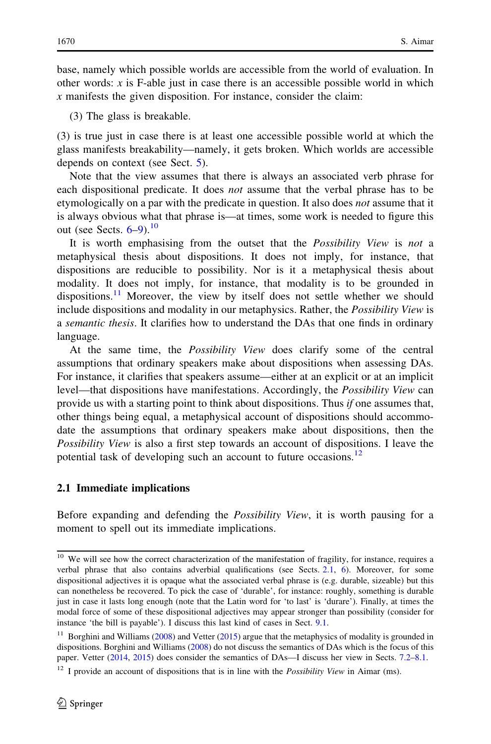<span id="page-3-0"></span>base, namely which possible worlds are accessible from the world of evaluation. In other words:  $x$  is F-able just in case there is an accessible possible world in which  $x$  manifests the given disposition. For instance, consider the claim:

(3) The glass is breakable.

(3) is true just in case there is at least one accessible possible world at which the glass manifests breakability—namely, it gets broken. Which worlds are accessible depends on context (see Sect. [5\)](#page-8-0).

Note that the view assumes that there is always an associated verb phrase for each dispositional predicate. It does *not* assume that the verbal phrase has to be etymologically on a par with the predicate in question. It also does *not* assume that it is always obvious what that phrase is—at times, some work is needed to figure this out (see Sects.  $6-9$  $6-9$ ).<sup>10</sup>

It is worth emphasising from the outset that the Possibility View is not a metaphysical thesis about dispositions. It does not imply, for instance, that dispositions are reducible to possibility. Nor is it a metaphysical thesis about modality. It does not imply, for instance, that modality is to be grounded in dispositions.<sup>11</sup> Moreover, the view by itself does not settle whether we should include dispositions and modality in our metaphysics. Rather, the Possibility View is a semantic thesis. It clarifies how to understand the DAs that one finds in ordinary language.

At the same time, the Possibility View does clarify some of the central assumptions that ordinary speakers make about dispositions when assessing DAs. For instance, it clarifies that speakers assume—either at an explicit or at an implicit level—that dispositions have manifestations. Accordingly, the Possibility View can provide us with a starting point to think about dispositions. Thus *if* one assumes that, other things being equal, a metaphysical account of dispositions should accommodate the assumptions that ordinary speakers make about dispositions, then the Possibility View is also a first step towards an account of dispositions. I leave the potential task of developing such an account to future occasions.<sup>12</sup>

#### 2.1 Immediate implications

Before expanding and defending the Possibility View, it is worth pausing for a moment to spell out its immediate implications.

<sup>&</sup>lt;sup>10</sup> We will see how the correct characterization of the manifestation of fragility, for instance, requires a verbal phrase that also contains adverbial qualifications (see Sects. 2.1, [6\)](#page-10-0). Moreover, for some dispositional adjectives it is opaque what the associated verbal phrase is (e.g. durable, sizeable) but this can nonetheless be recovered. To pick the case of 'durable', for instance: roughly, something is durable just in case it lasts long enough (note that the Latin word for 'to last' is 'durare'). Finally, at times the modal force of some of these dispositional adjectives may appear stronger than possibility (consider for instance 'the bill is payable'). I discuss this last kind of cases in Sect. [9.1](#page-20-0).

 $11$  Borghini and Williams ([2008](#page-23-0)) and Vetter ([2015\)](#page-25-0) argue that the metaphysics of modality is grounded in dispositions. Borghini and Williams ([2008\)](#page-23-0) do not discuss the semantics of DAs which is the focus of this paper. Vetter ([2014,](#page-24-0) [2015](#page-25-0)) does consider the semantics of DAs—I discuss her view in Sects. [7.2–](#page-14-0)[8.1](#page-16-0).

 $12$  I provide an account of dispositions that is in line with the *Possibility View* in Aimar (ms).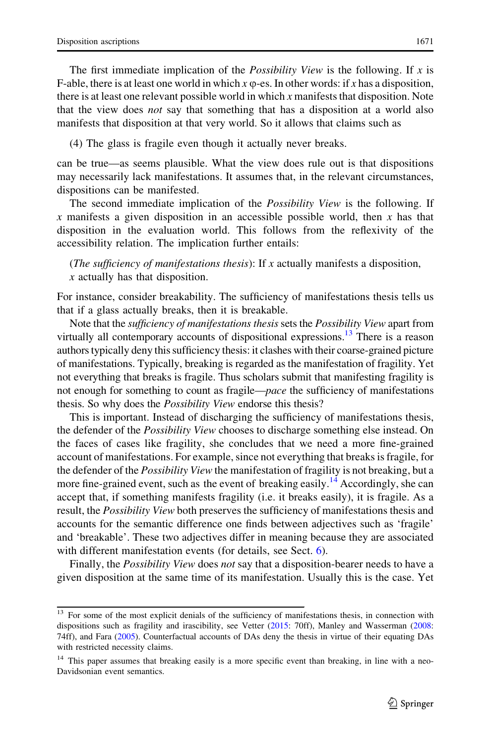The first immediate implication of the *Possibility View* is the following. If x is F-able, there is at least one world in which x  $\varphi$ -es. In other words: if x has a disposition, there is at least one relevant possible world in which x manifests that disposition. Note that the view does not say that something that has a disposition at a world also manifests that disposition at that very world. So it allows that claims such as

(4) The glass is fragile even though it actually never breaks.

can be true—as seems plausible. What the view does rule out is that dispositions may necessarily lack manifestations. It assumes that, in the relevant circumstances, dispositions can be manifested.

The second immediate implication of the *Possibility View* is the following. If x manifests a given disposition in an accessible possible world, then x has that disposition in the evaluation world. This follows from the reflexivity of the accessibility relation. The implication further entails:

(The sufficiency of manifestations thesis): If x actually manifests a disposition, x actually has that disposition.

For instance, consider breakability. The sufficiency of manifestations thesis tells us that if a glass actually breaks, then it is breakable.

Note that the sufficiency of manifestations thesis sets the Possibility View apart from virtually all contemporary accounts of dispositional expressions.<sup>13</sup> There is a reason authors typically deny this sufficiency thesis: it clashes with their coarse-grained picture of manifestations. Typically, breaking is regarded as the manifestation of fragility. Yet not everything that breaks is fragile. Thus scholars submit that manifesting fragility is not enough for something to count as fragile—*pace* the sufficiency of manifestations thesis. So why does the Possibility View endorse this thesis?

This is important. Instead of discharging the sufficiency of manifestations thesis, the defender of the Possibility View chooses to discharge something else instead. On the faces of cases like fragility, she concludes that we need a more fine-grained account of manifestations. For example, since not everything that breaks is fragile, for the defender of the *Possibility View* the manifestation of fragility is not breaking, but a more fine-grained event, such as the event of breaking easily.<sup>14</sup> Accordingly, she can accept that, if something manifests fragility (i.e. it breaks easily), it is fragile. As a result, the *Possibility View* both preserves the sufficiency of manifestations thesis and accounts for the semantic difference one finds between adjectives such as 'fragile' and 'breakable'. These two adjectives differ in meaning because they are associated with different manifestation events (for details, see Sect. [6](#page-10-0)).

Finally, the *Possibility View* does not say that a disposition-bearer needs to have a given disposition at the same time of its manifestation. Usually this is the case. Yet

 $13$  For some of the most explicit denials of the sufficiency of manifestations thesis, in connection with dispositions such as fragility and irascibility, see Vetter [\(2015](#page-25-0): 70ff), Manley and Wasserman [\(2008](#page-24-0): 74ff), and Fara [\(2005](#page-23-0)). Counterfactual accounts of DAs deny the thesis in virtue of their equating DAs with restricted necessity claims.

<sup>&</sup>lt;sup>14</sup> This paper assumes that breaking easily is a more specific event than breaking, in line with a neo-Davidsonian event semantics.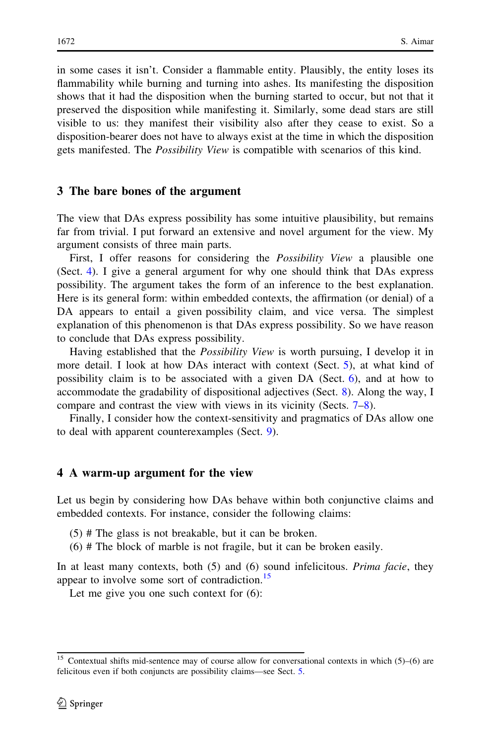<span id="page-5-0"></span>in some cases it isn't. Consider a flammable entity. Plausibly, the entity loses its flammability while burning and turning into ashes. Its manifesting the disposition shows that it had the disposition when the burning started to occur, but not that it preserved the disposition while manifesting it. Similarly, some dead stars are still visible to us: they manifest their visibility also after they cease to exist. So a disposition-bearer does not have to always exist at the time in which the disposition gets manifested. The Possibility View is compatible with scenarios of this kind.

### 3 The bare bones of the argument

The view that DAs express possibility has some intuitive plausibility, but remains far from trivial. I put forward an extensive and novel argument for the view. My argument consists of three main parts.

First, I offer reasons for considering the *Possibility View* a plausible one (Sect. 4). I give a general argument for why one should think that DAs express possibility. The argument takes the form of an inference to the best explanation. Here is its general form: within embedded contexts, the affirmation (or denial) of a DA appears to entail a given possibility claim, and vice versa. The simplest explanation of this phenomenon is that DAs express possibility. So we have reason to conclude that DAs express possibility.

Having established that the Possibility View is worth pursuing, I develop it in more detail. I look at how DAs interact with context (Sect. [5](#page-8-0)), at what kind of possibility claim is to be associated with a given DA (Sect. [6](#page-10-0)), and at how to accommodate the gradability of dispositional adjectives (Sect. [8](#page-15-0)). Along the way, I compare and contrast the view with views in its vicinity (Sects. [7–](#page-13-0)[8\)](#page-15-0).

Finally, I consider how the context-sensitivity and pragmatics of DAs allow one to deal with apparent counterexamples (Sect. [9\)](#page-20-0).

#### 4 A warm-up argument for the view

Let us begin by considering how DAs behave within both conjunctive claims and embedded contexts. For instance, consider the following claims:

- (5) # The glass is not breakable, but it can be broken.
- (6) # The block of marble is not fragile, but it can be broken easily.

In at least many contexts, both (5) and (6) sound infelicitous. *Prima facie*, they appear to involve some sort of contradiction.<sup>15</sup>

Let me give you one such context for (6):

<sup>&</sup>lt;sup>15</sup> Contextual shifts mid-sentence may of course allow for conversational contexts in which  $(5)-(6)$  are felicitous even if both conjuncts are possibility claims—see Sect. [5.](#page-8-0)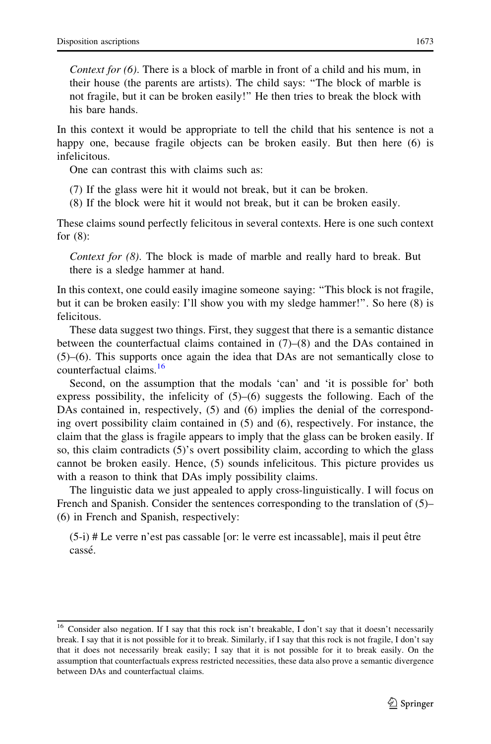Context for (6). There is a block of marble in front of a child and his mum, in their house (the parents are artists). The child says: ''The block of marble is not fragile, but it can be broken easily!'' He then tries to break the block with his bare hands.

In this context it would be appropriate to tell the child that his sentence is not a happy one, because fragile objects can be broken easily. But then here (6) is infelicitous.

One can contrast this with claims such as:

- (7) If the glass were hit it would not break, but it can be broken.
- (8) If the block were hit it would not break, but it can be broken easily.

These claims sound perfectly felicitous in several contexts. Here is one such context for (8):

Context for (8). The block is made of marble and really hard to break. But there is a sledge hammer at hand.

In this context, one could easily imagine someone saying: ''This block is not fragile, but it can be broken easily: I'll show you with my sledge hammer!''. So here (8) is felicitous.

These data suggest two things. First, they suggest that there is a semantic distance between the counterfactual claims contained in (7)–(8) and the DAs contained in (5)–(6). This supports once again the idea that DAs are not semantically close to counterfactual claims.<sup>16</sup>

Second, on the assumption that the modals 'can' and 'it is possible for' both express possibility, the infelicity of  $(5)$ – $(6)$  suggests the following. Each of the DAs contained in, respectively, (5) and (6) implies the denial of the corresponding overt possibility claim contained in (5) and (6), respectively. For instance, the claim that the glass is fragile appears to imply that the glass can be broken easily. If so, this claim contradicts (5)'s overt possibility claim, according to which the glass cannot be broken easily. Hence, (5) sounds infelicitous. This picture provides us with a reason to think that DAs imply possibility claims.

The linguistic data we just appealed to apply cross-linguistically. I will focus on French and Spanish. Consider the sentences corresponding to the translation of (5)– (6) in French and Spanish, respectively:

 $(5-i)$  # Le verre n'est pas cassable [or: le verre est incassable], mais il peut être casse´.

<sup>&</sup>lt;sup>16</sup> Consider also negation. If I say that this rock isn't breakable, I don't say that it doesn't necessarily break. I say that it is not possible for it to break. Similarly, if I say that this rock is not fragile, I don't say that it does not necessarily break easily; I say that it is not possible for it to break easily. On the assumption that counterfactuals express restricted necessities, these data also prove a semantic divergence between DAs and counterfactual claims.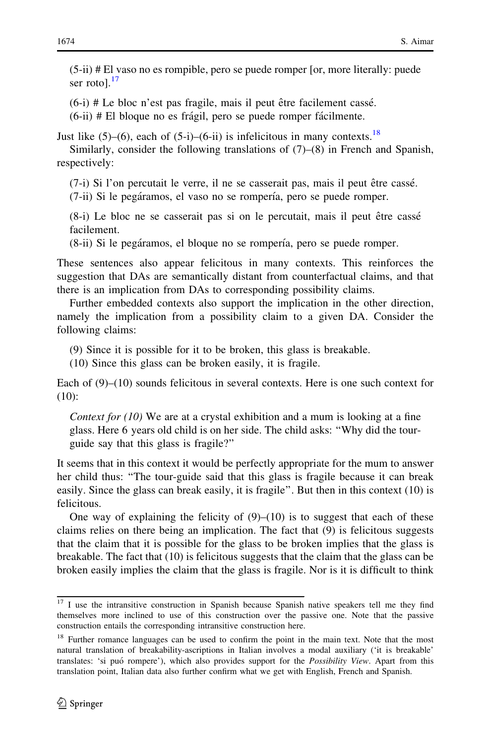(5-ii) # El vaso no es rompible, pero se puede romper [or, more literally: puede ser rotol<sup>17</sup>

 $(6-i)$  # Le bloc n'est pas fragile, mais il peut être facilement cassé.

 $(6-i)$  # El bloque no es frágil, pero se puede romper fácilmente.

Just like  $(5)-(6)$ , each of  $(5-i)-(6-i)$  is infelicitous in many contexts.<sup>18</sup>

Similarly, consider the following translations of (7)–(8) in French and Spanish, respectively:

 $(7-i)$  Si l'on percutait le verre, il ne se casserait pas, mais il peut être cassé.

(7-ii) Si le pega´ramos, el vaso no se romperı´a, pero se puede romper.

 $(8-i)$  Le bloc ne se casserait pas si on le percutait, mais il peut être cassé facilement.

(8-ii) Si le pega´ramos, el bloque no se romperı´a, pero se puede romper.

These sentences also appear felicitous in many contexts. This reinforces the suggestion that DAs are semantically distant from counterfactual claims, and that there is an implication from DAs to corresponding possibility claims.

Further embedded contexts also support the implication in the other direction, namely the implication from a possibility claim to a given DA. Consider the following claims:

(9) Since it is possible for it to be broken, this glass is breakable.

(10) Since this glass can be broken easily, it is fragile.

Each of  $(9)$ – $(10)$  sounds felicitous in several contexts. Here is one such context for (10):

Context for  $(10)$  We are at a crystal exhibition and a mum is looking at a fine glass. Here 6 years old child is on her side. The child asks: ''Why did the tourguide say that this glass is fragile?''

It seems that in this context it would be perfectly appropriate for the mum to answer her child thus: ''The tour-guide said that this glass is fragile because it can break easily. Since the glass can break easily, it is fragile''. But then in this context (10) is felicitous.

One way of explaining the felicity of  $(9)$ – $(10)$  is to suggest that each of these claims relies on there being an implication. The fact that (9) is felicitous suggests that the claim that it is possible for the glass to be broken implies that the glass is breakable. The fact that (10) is felicitous suggests that the claim that the glass can be broken easily implies the claim that the glass is fragile. Nor is it is difficult to think

<sup>&</sup>lt;sup>17</sup> I use the intransitive construction in Spanish because Spanish native speakers tell me they find themselves more inclined to use of this construction over the passive one. Note that the passive construction entails the corresponding intransitive construction here.

<sup>&</sup>lt;sup>18</sup> Further romance languages can be used to confirm the point in the main text. Note that the most natural translation of breakability-ascriptions in Italian involves a modal auxiliary ('it is breakable' translates: 'si puo´ rompere'), which also provides support for the *Possibility View*. Apart from this translation point, Italian data also further confirm what we get with English, French and Spanish.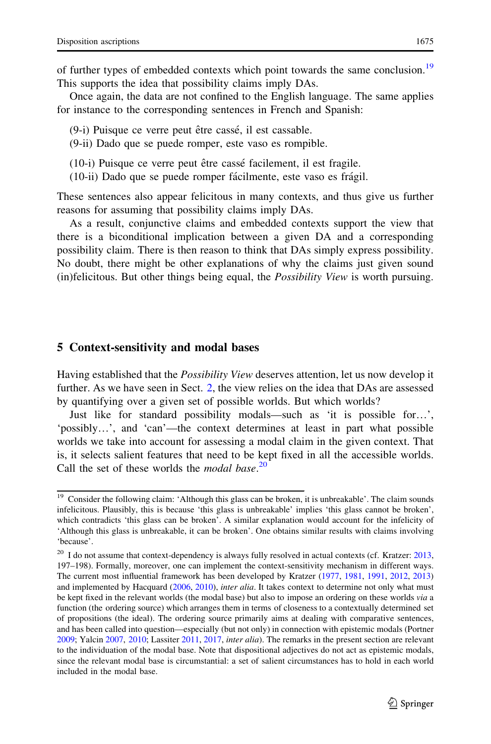<span id="page-8-0"></span>of further types of embedded contexts which point towards the same conclusion.<sup>19</sup> This supports the idea that possibility claims imply DAs.

Once again, the data are not confined to the English language. The same applies for instance to the corresponding sentences in French and Spanish:

- $(9-i)$  Puisque ce verre peut être cassé, il est cassable.
- (9-ii) Dado que se puede romper, este vaso es rompible.
- $(10-i)$  Puisque ce verre peut être cassé facilement, il est fragile.
- (10-ii) Dado que se puede romper fácilmente, este vaso es frágil.

These sentences also appear felicitous in many contexts, and thus give us further reasons for assuming that possibility claims imply DAs.

As a result, conjunctive claims and embedded contexts support the view that there is a biconditional implication between a given DA and a corresponding possibility claim. There is then reason to think that DAs simply express possibility. No doubt, there might be other explanations of why the claims just given sound (in)felicitous. But other things being equal, the Possibility View is worth pursuing.

#### 5 Context-sensitivity and modal bases

Having established that the *Possibility View* deserves attention, let us now develop it further. As we have seen in Sect. [2](#page-2-0), the view relies on the idea that DAs are assessed by quantifying over a given set of possible worlds. But which worlds?

Just like for standard possibility modals—such as 'it is possible for…', 'possibly…', and 'can'—the context determines at least in part what possible worlds we take into account for assessing a modal claim in the given context. That is, it selects salient features that need to be kept fixed in all the accessible worlds. Call the set of these worlds the *modal base*.<sup>20</sup>

<sup>&</sup>lt;sup>19</sup> Consider the following claim: 'Although this glass can be broken, it is unbreakable'. The claim sounds infelicitous. Plausibly, this is because 'this glass is unbreakable' implies 'this glass cannot be broken', which contradicts 'this glass can be broken'. A similar explanation would account for the infelicity of 'Although this glass is unbreakable, it can be broken'. One obtains similar results with claims involving 'because'.

<sup>&</sup>lt;sup>20</sup> I do not assume that context-dependency is always fully resolved in actual contexts (cf. Kratzer: [2013](#page-24-0), 197–198). Formally, moreover, one can implement the context-sensitivity mechanism in different ways. The current most influential framework has been developed by Kratzer ([1977,](#page-24-0) [1981](#page-24-0), [1991,](#page-24-0) [2012](#page-24-0), [2013\)](#page-24-0) and implemented by Hacquard ([2006,](#page-23-0) [2010\)](#page-23-0), *inter alia*. It takes context to determine not only what must be kept fixed in the relevant worlds (the modal base) but also to impose an ordering on these worlds *via* a function (the ordering source) which arranges them in terms of closeness to a contextually determined set of propositions (the ideal). The ordering source primarily aims at dealing with comparative sentences, and has been called into question—especially (but not only) in connection with epistemic modals (Portner [2009;](#page-24-0) Yalcin [2007](#page-25-0), [2010;](#page-25-0) Lassiter [2011](#page-24-0), [2017](#page-24-0), inter alia). The remarks in the present section are relevant to the individuation of the modal base. Note that dispositional adjectives do not act as epistemic modals, since the relevant modal base is circumstantial: a set of salient circumstances has to hold in each world included in the modal base.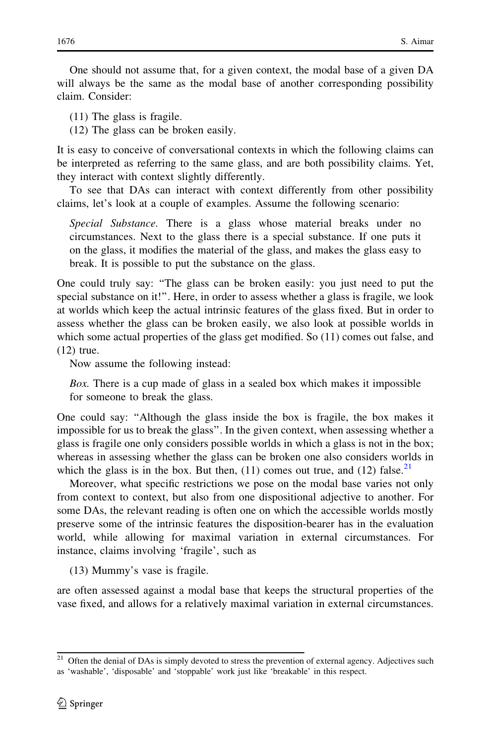One should not assume that, for a given context, the modal base of a given DA will always be the same as the modal base of another corresponding possibility claim. Consider:

(11) The glass is fragile.

(12) The glass can be broken easily.

It is easy to conceive of conversational contexts in which the following claims can be interpreted as referring to the same glass, and are both possibility claims. Yet, they interact with context slightly differently.

To see that DAs can interact with context differently from other possibility claims, let's look at a couple of examples. Assume the following scenario:

Special Substance. There is a glass whose material breaks under no circumstances. Next to the glass there is a special substance. If one puts it on the glass, it modifies the material of the glass, and makes the glass easy to break. It is possible to put the substance on the glass.

One could truly say: ''The glass can be broken easily: you just need to put the special substance on it!''. Here, in order to assess whether a glass is fragile, we look at worlds which keep the actual intrinsic features of the glass fixed. But in order to assess whether the glass can be broken easily, we also look at possible worlds in which some actual properties of the glass get modified. So (11) comes out false, and (12) true.

Now assume the following instead:

Box. There is a cup made of glass in a sealed box which makes it impossible for someone to break the glass.

One could say: ''Although the glass inside the box is fragile, the box makes it impossible for us to break the glass''. In the given context, when assessing whether a glass is fragile one only considers possible worlds in which a glass is not in the box; whereas in assessing whether the glass can be broken one also considers worlds in which the glass is in the box. But then,  $(11)$  comes out true, and  $(12)$  false.<sup>21</sup>

Moreover, what specific restrictions we pose on the modal base varies not only from context to context, but also from one dispositional adjective to another. For some DAs, the relevant reading is often one on which the accessible worlds mostly preserve some of the intrinsic features the disposition-bearer has in the evaluation world, while allowing for maximal variation in external circumstances. For instance, claims involving 'fragile', such as

(13) Mummy's vase is fragile.

are often assessed against a modal base that keeps the structural properties of the vase fixed, and allows for a relatively maximal variation in external circumstances.

<sup>&</sup>lt;sup>21</sup> Often the denial of DAs is simply devoted to stress the prevention of external agency. Adjectives such as 'washable', 'disposable' and 'stoppable' work just like 'breakable' in this respect.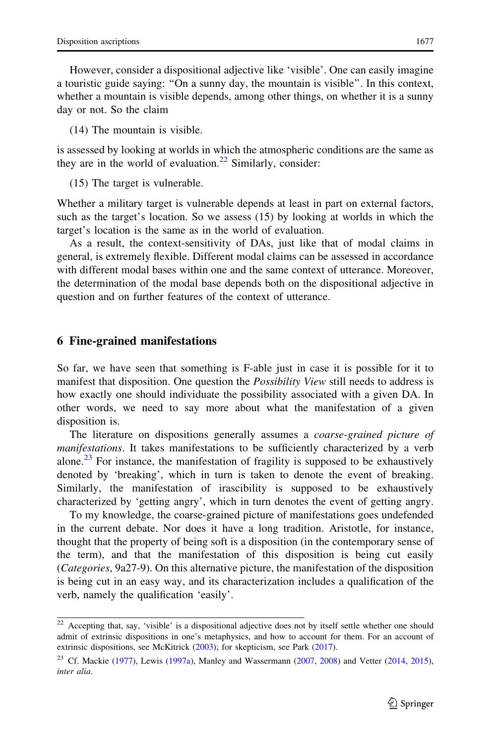<span id="page-10-0"></span>However, consider a dispositional adjective like 'visible'. One can easily imagine a touristic guide saying: ''On a sunny day, the mountain is visible''. In this context, whether a mountain is visible depends, among other things, on whether it is a sunny day or not. So the claim

(14) The mountain is visible.

is assessed by looking at worlds in which the atmospheric conditions are the same as they are in the world of evaluation.<sup>22</sup> Similarly, consider:

(15) The target is vulnerable.

Whether a military target is vulnerable depends at least in part on external factors, such as the target's location. So we assess (15) by looking at worlds in which the target's location is the same as in the world of evaluation.

As a result, the context-sensitivity of DAs, just like that of modal claims in general, is extremely flexible. Different modal claims can be assessed in accordance with different modal bases within one and the same context of utterance. Moreover, the determination of the modal base depends both on the dispositional adjective in question and on further features of the context of utterance.

#### 6 Fine-grained manifestations

So far, we have seen that something is F-able just in case it is possible for it to manifest that disposition. One question the *Possibility View* still needs to address is how exactly one should individuate the possibility associated with a given DA. In other words, we need to say more about what the manifestation of a given disposition is.

The literature on dispositions generally assumes a coarse-grained picture of manifestations. It takes manifestations to be sufficiently characterized by a verb alone.<sup>23</sup> For instance, the manifestation of fragility is supposed to be exhaustively denoted by 'breaking', which in turn is taken to denote the event of breaking. Similarly, the manifestation of irascibility is supposed to be exhaustively characterized by 'getting angry', which in turn denotes the event of getting angry.

To my knowledge, the coarse-grained picture of manifestations goes undefended in the current debate. Nor does it have a long tradition. Aristotle, for instance, thought that the property of being soft is a disposition (in the contemporary sense of the term), and that the manifestation of this disposition is being cut easily (Categories, 9a27-9). On this alternative picture, the manifestation of the disposition is being cut in an easy way, and its characterization includes a qualification of the verb, namely the qualification 'easily'.

<sup>&</sup>lt;sup>22</sup> Accepting that, say, 'visible' is a dispositional adjective does not by itself settle whether one should admit of extrinsic dispositions in one's metaphysics, and how to account for them. For an account of extrinsic dispositions, see McKitrick [\(2003](#page-24-0)); for skepticism, see Park ([2017\)](#page-24-0).

<sup>&</sup>lt;sup>23</sup> Cf. Mackie ([1977\)](#page-24-0), Lewis [\(1997a\)](#page-24-0), Manley and Wassermann ([2007,](#page-24-0) [2008](#page-24-0)) and Vetter [\(2014](#page-24-0), [2015\)](#page-25-0), inter alia.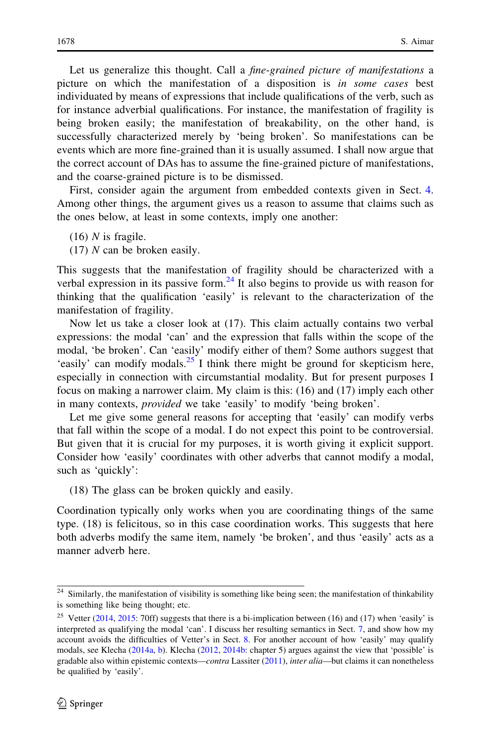Let us generalize this thought. Call a *fine-grained picture of manifestations* a picture on which the manifestation of a disposition is in some cases best individuated by means of expressions that include qualifications of the verb, such as for instance adverbial qualifications. For instance, the manifestation of fragility is being broken easily; the manifestation of breakability, on the other hand, is successfully characterized merely by 'being broken'. So manifestations can be events which are more fine-grained than it is usually assumed. I shall now argue that the correct account of DAs has to assume the fine-grained picture of manifestations, and the coarse-grained picture is to be dismissed.

First, consider again the argument from embedded contexts given in Sect. [4.](#page-5-0) Among other things, the argument gives us a reason to assume that claims such as the ones below, at least in some contexts, imply one another:

 $(16)$  N is fragile.

 $(17)$  N can be broken easily.

This suggests that the manifestation of fragility should be characterized with a verbal expression in its passive form.<sup>24</sup> It also begins to provide us with reason for thinking that the qualification 'easily' is relevant to the characterization of the manifestation of fragility.

Now let us take a closer look at (17). This claim actually contains two verbal expressions: the modal 'can' and the expression that falls within the scope of the modal, 'be broken'. Can 'easily' modify either of them? Some authors suggest that 'easily' can modify modals. $^{25}$  I think there might be ground for skepticism here, especially in connection with circumstantial modality. But for present purposes I focus on making a narrower claim. My claim is this: (16) and (17) imply each other in many contexts, provided we take 'easily' to modify 'being broken'.

Let me give some general reasons for accepting that 'easily' can modify verbs that fall within the scope of a modal. I do not expect this point to be controversial. But given that it is crucial for my purposes, it is worth giving it explicit support. Consider how 'easily' coordinates with other adverbs that cannot modify a modal, such as 'quickly':

(18) The glass can be broken quickly and easily.

Coordination typically only works when you are coordinating things of the same type. (18) is felicitous, so in this case coordination works. This suggests that here both adverbs modify the same item, namely 'be broken', and thus 'easily' acts as a manner adverb here.

 $24$  Similarly, the manifestation of visibility is something like being seen; the manifestation of thinkability is something like being thought; etc.

<sup>&</sup>lt;sup>25</sup> Vetter ([2014,](#page-24-0) [2015](#page-25-0): 70ff) suggests that there is a bi-implication between (16) and (17) when 'easily' is interpreted as qualifying the modal 'can'. I discuss her resulting semantics in Sect. [7,](#page-13-0) and show how my account avoids the difficulties of Vetter's in Sect. [8](#page-15-0). For another account of how 'easily' may qualify modals, see Klecha ([2014a](#page-24-0), [b](#page-24-0)). Klecha ([2012](#page-24-0), [2014b](#page-24-0): chapter 5) argues against the view that 'possible' is gradable also within epistemic contexts—contra Lassiter [\(2011\)](#page-24-0), inter alia—but claims it can nonetheless be qualified by 'easily'.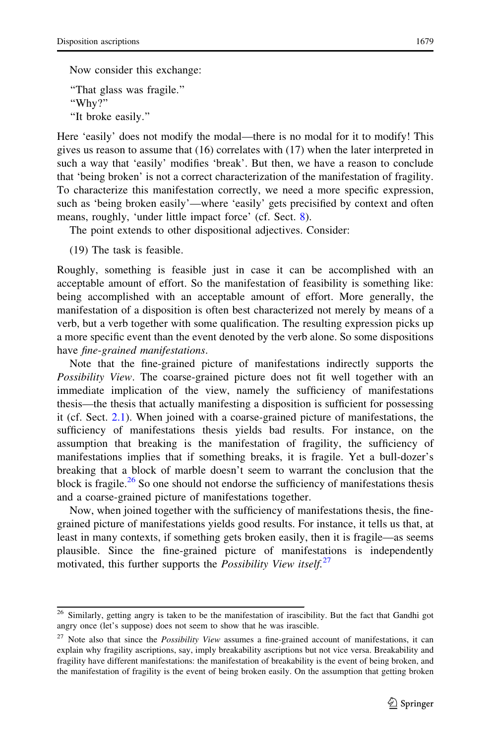Now consider this exchange:

''That glass was fragile.'' ''Why?'' ''It broke easily.''

Here 'easily' does not modify the modal—there is no modal for it to modify! This gives us reason to assume that (16) correlates with (17) when the later interpreted in such a way that 'easily' modifies 'break'. But then, we have a reason to conclude that 'being broken' is not a correct characterization of the manifestation of fragility. To characterize this manifestation correctly, we need a more specific expression, such as 'being broken easily'—where 'easily' gets precisified by context and often means, roughly, 'under little impact force' (cf. Sect. [8](#page-15-0)).

The point extends to other dispositional adjectives. Consider:

(19) The task is feasible.

Roughly, something is feasible just in case it can be accomplished with an acceptable amount of effort. So the manifestation of feasibility is something like: being accomplished with an acceptable amount of effort. More generally, the manifestation of a disposition is often best characterized not merely by means of a verb, but a verb together with some qualification. The resulting expression picks up a more specific event than the event denoted by the verb alone. So some dispositions have fine-grained manifestations.

Note that the fine-grained picture of manifestations indirectly supports the Possibility View. The coarse-grained picture does not fit well together with an immediate implication of the view, namely the sufficiency of manifestations thesis—the thesis that actually manifesting a disposition is sufficient for possessing it (cf. Sect. [2.1\)](#page-3-0). When joined with a coarse-grained picture of manifestations, the sufficiency of manifestations thesis yields bad results. For instance, on the assumption that breaking is the manifestation of fragility, the sufficiency of manifestations implies that if something breaks, it is fragile. Yet a bull-dozer's breaking that a block of marble doesn't seem to warrant the conclusion that the block is fragile.<sup>26</sup> So one should not endorse the sufficiency of manifestations thesis and a coarse-grained picture of manifestations together.

Now, when joined together with the sufficiency of manifestations thesis, the finegrained picture of manifestations yields good results. For instance, it tells us that, at least in many contexts, if something gets broken easily, then it is fragile—as seems plausible. Since the fine-grained picture of manifestations is independently motivated, this further supports the *Possibility View itself.*<sup>27</sup>

<sup>&</sup>lt;sup>26</sup> Similarly, getting angry is taken to be the manifestation of irascibility. But the fact that Gandhi got angry once (let's suppose) does not seem to show that he was irascible.

 $27$  Note also that since the *Possibility View* assumes a fine-grained account of manifestations, it can explain why fragility ascriptions, say, imply breakability ascriptions but not vice versa. Breakability and fragility have different manifestations: the manifestation of breakability is the event of being broken, and the manifestation of fragility is the event of being broken easily. On the assumption that getting broken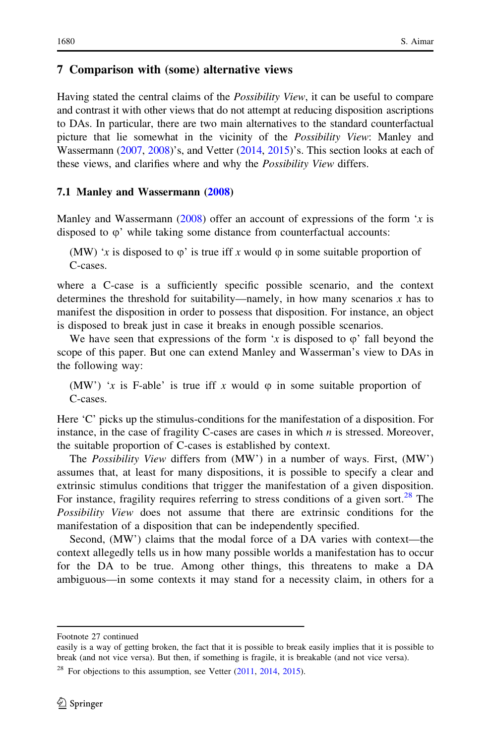# <span id="page-13-0"></span>7 Comparison with (some) alternative views

Having stated the central claims of the Possibility View, it can be useful to compare and contrast it with other views that do not attempt at reducing disposition ascriptions to DAs. In particular, there are two main alternatives to the standard counterfactual picture that lie somewhat in the vicinity of the Possibility View: Manley and Wassermann ([2007](#page-24-0), [2008](#page-24-0))'s, and Vetter [\(2014,](#page-24-0) [2015](#page-25-0))'s. This section looks at each of these views, and clarifies where and why the *Possibility View* differs.

# 7.1 Manley and Wassermann ([2008\)](#page-24-0)

Manley and Wassermann [\(2008](#page-24-0)) offer an account of expressions of the form 'x is disposed to  $\varphi'$  while taking some distance from counterfactual accounts:

(MW) 'x is disposed to  $\varphi$ ' is true iff x would  $\varphi$  in some suitable proportion of C-cases.

where a C-case is a sufficiently specific possible scenario, and the context determines the threshold for suitability—namely, in how many scenarios  $x$  has to manifest the disposition in order to possess that disposition. For instance, an object is disposed to break just in case it breaks in enough possible scenarios.

We have seen that expressions of the form 'x is disposed to  $\varphi$ ' fall beyond the scope of this paper. But one can extend Manley and Wasserman's view to DAs in the following way:

(MW') 'x is F-able' is true iff x would  $\varphi$  in some suitable proportion of C-cases.

Here 'C' picks up the stimulus-conditions for the manifestation of a disposition. For instance, in the case of fragility C-cases are cases in which  $n$  is stressed. Moreover, the suitable proportion of C-cases is established by context.

The Possibility View differs from (MW') in a number of ways. First, (MW') assumes that, at least for many dispositions, it is possible to specify a clear and extrinsic stimulus conditions that trigger the manifestation of a given disposition. For instance, fragility requires referring to stress conditions of a given sort.<sup>28</sup> The Possibility View does not assume that there are extrinsic conditions for the manifestation of a disposition that can be independently specified.

Second, (MW') claims that the modal force of a DA varies with context—the context allegedly tells us in how many possible worlds a manifestation has to occur for the DA to be true. Among other things, this threatens to make a DA ambiguous—in some contexts it may stand for a necessity claim, in others for a

Footnote 27 continued

easily is a way of getting broken, the fact that it is possible to break easily implies that it is possible to break (and not vice versa). But then, if something is fragile, it is breakable (and not vice versa).

 $28$  For objections to this assumption, see Vetter  $(2011, 2014, 2015)$  $(2011, 2014, 2015)$  $(2011, 2014, 2015)$  $(2011, 2014, 2015)$  $(2011, 2014, 2015)$  $(2011, 2014, 2015)$ .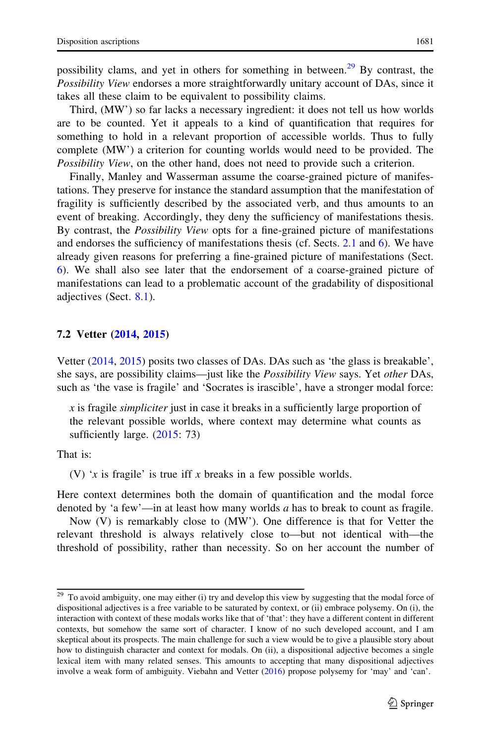<span id="page-14-0"></span>possibility clams, and yet in others for something in between.<sup>29</sup> By contrast, the Possibility View endorses a more straightforwardly unitary account of DAs, since it takes all these claim to be equivalent to possibility claims.

Third, (MW') so far lacks a necessary ingredient: it does not tell us how worlds are to be counted. Yet it appeals to a kind of quantification that requires for something to hold in a relevant proportion of accessible worlds. Thus to fully complete (MW') a criterion for counting worlds would need to be provided. The Possibility View, on the other hand, does not need to provide such a criterion.

Finally, Manley and Wasserman assume the coarse-grained picture of manifestations. They preserve for instance the standard assumption that the manifestation of fragility is sufficiently described by the associated verb, and thus amounts to an event of breaking. Accordingly, they deny the sufficiency of manifestations thesis. By contrast, the Possibility View opts for a fine-grained picture of manifestations and endorses the sufficiency of manifestations thesis (cf. Sects.  $2.1$  and  $6$ ). We have already given reasons for preferring a fine-grained picture of manifestations (Sect. [6](#page-10-0)). We shall also see later that the endorsement of a coarse-grained picture of manifestations can lead to a problematic account of the gradability of dispositional adjectives (Sect. [8.1](#page-16-0)).

#### 7.2 Vetter [\(2014](#page-24-0), [2015](#page-25-0))

Vetter [\(2014,](#page-24-0) [2015\)](#page-25-0) posits two classes of DAs. DAs such as 'the glass is breakable', she says, are possibility claims—just like the Possibility View says. Yet other DAs, such as 'the vase is fragile' and 'Socrates is irascible', have a stronger modal force:

 $x$  is fragile *simpliciter* just in case it breaks in a sufficiently large proportion of the relevant possible worlds, where context may determine what counts as sufficiently large. ([2015:](#page-25-0) 73)

That is:

(V) 'x is fragile' is true iff x breaks in a few possible worlds.

Here context determines both the domain of quantification and the modal force denoted by 'a few'—in at least how many worlds  $a$  has to break to count as fragile.

Now (V) is remarkably close to (MW'). One difference is that for Vetter the relevant threshold is always relatively close to—but not identical with—the threshold of possibility, rather than necessity. So on her account the number of

<sup>&</sup>lt;sup>29</sup> To avoid ambiguity, one may either (i) try and develop this view by suggesting that the modal force of dispositional adjectives is a free variable to be saturated by context, or (ii) embrace polysemy. On (i), the interaction with context of these modals works like that of 'that': they have a different content in different contexts, but somehow the same sort of character. I know of no such developed account, and I am skeptical about its prospects. The main challenge for such a view would be to give a plausible story about how to distinguish character and context for modals. On (ii), a dispositional adjective becomes a single lexical item with many related senses. This amounts to accepting that many dispositional adjectives involve a weak form of ambiguity. Viebahn and Vetter ([2016\)](#page-25-0) propose polysemy for 'may' and 'can'.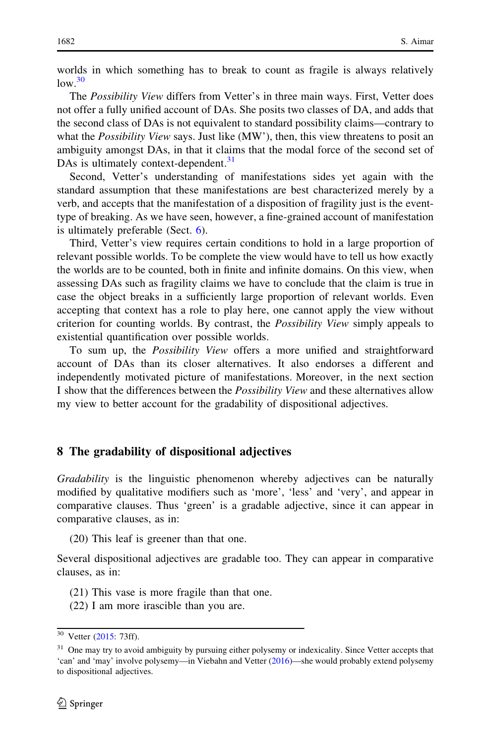<span id="page-15-0"></span>worlds in which something has to break to count as fragile is always relatively  $low.<sup>30</sup>$ 

The *Possibility View* differs from Vetter's in three main ways. First, Vetter does not offer a fully unified account of DAs. She posits two classes of DA, and adds that the second class of DAs is not equivalent to standard possibility claims—contrary to what the *Possibility View* says. Just like (MW'), then, this view threatens to posit an ambiguity amongst DAs, in that it claims that the modal force of the second set of DAs is ultimately context-dependent.<sup>31</sup>

Second, Vetter's understanding of manifestations sides yet again with the standard assumption that these manifestations are best characterized merely by a verb, and accepts that the manifestation of a disposition of fragility just is the eventtype of breaking. As we have seen, however, a fine-grained account of manifestation is ultimately preferable (Sect.  $6$ ).

Third, Vetter's view requires certain conditions to hold in a large proportion of relevant possible worlds. To be complete the view would have to tell us how exactly the worlds are to be counted, both in finite and infinite domains. On this view, when assessing DAs such as fragility claims we have to conclude that the claim is true in case the object breaks in a sufficiently large proportion of relevant worlds. Even accepting that context has a role to play here, one cannot apply the view without criterion for counting worlds. By contrast, the Possibility View simply appeals to existential quantification over possible worlds.

To sum up, the Possibility View offers a more unified and straightforward account of DAs than its closer alternatives. It also endorses a different and independently motivated picture of manifestations. Moreover, in the next section I show that the differences between the Possibility View and these alternatives allow my view to better account for the gradability of dispositional adjectives.

## 8 The gradability of dispositional adjectives

Gradability is the linguistic phenomenon whereby adjectives can be naturally modified by qualitative modifiers such as 'more', 'less' and 'very', and appear in comparative clauses. Thus 'green' is a gradable adjective, since it can appear in comparative clauses, as in:

(20) This leaf is greener than that one.

Several dispositional adjectives are gradable too. They can appear in comparative clauses, as in:

- (21) This vase is more fragile than that one.
- (22) I am more irascible than you are.

 $30$  Vetter [\(2015](#page-25-0): 73ff).

<sup>&</sup>lt;sup>31</sup> One may try to avoid ambiguity by pursuing either polysemy or indexicality. Since Vetter accepts that 'can' and 'may' involve polysemy—in Viebahn and Vetter [\(2016](#page-25-0))—she would probably extend polysemy to dispositional adjectives.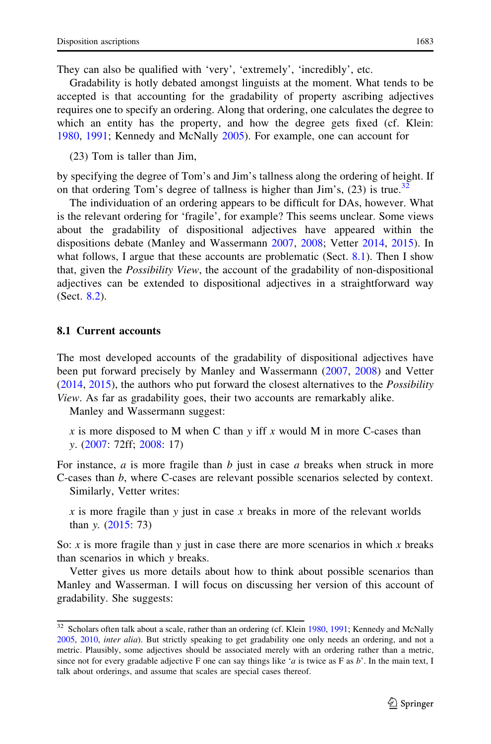<span id="page-16-0"></span>They can also be qualified with 'very', 'extremely', 'incredibly', etc.

Gradability is hotly debated amongst linguists at the moment. What tends to be accepted is that accounting for the gradability of property ascribing adjectives requires one to specify an ordering. Along that ordering, one calculates the degree to which an entity has the property, and how the degree gets fixed (cf. Klein: [1980,](#page-24-0) [1991;](#page-24-0) Kennedy and McNally [2005\)](#page-24-0). For example, one can account for

(23) Tom is taller than Jim,

by specifying the degree of Tom's and Jim's tallness along the ordering of height. If on that ordering Tom's degree of tallness is higher than  $\text{Jim's}, (23)$  is true.<sup>32</sup>

The individuation of an ordering appears to be difficult for DAs, however. What is the relevant ordering for 'fragile', for example? This seems unclear. Some views about the gradability of dispositional adjectives have appeared within the dispositions debate (Manley and Wassermann [2007](#page-24-0), [2008](#page-24-0); Vetter [2014](#page-24-0), [2015\)](#page-25-0). In what follows, I argue that these accounts are problematic (Sect. 8.1). Then I show that, given the Possibility View, the account of the gradability of non-dispositional adjectives can be extended to dispositional adjectives in a straightforward way (Sect. [8.2\)](#page-18-0).

# 8.1 Current accounts

The most developed accounts of the gradability of dispositional adjectives have been put forward precisely by Manley and Wassermann [\(2007](#page-24-0), [2008\)](#page-24-0) and Vetter [\(2014](#page-24-0), [2015\)](#page-25-0), the authors who put forward the closest alternatives to the Possibility View. As far as gradability goes, their two accounts are remarkably alike.

Manley and Wassermann suggest:

x is more disposed to M when C than y iff x would M in more C-cases than y. ([2007:](#page-24-0) 72ff; [2008:](#page-24-0) 17)

For instance,  $a$  is more fragile than  $b$  just in case  $a$  breaks when struck in more C-cases than b, where C-cases are relevant possible scenarios selected by context. Similarly, Vetter writes:

 $x$  is more fragile than  $y$  just in case  $x$  breaks in more of the relevant worlds than y. ([2015:](#page-25-0) 73)

So: x is more fragile than y just in case there are more scenarios in which x breaks than scenarios in which y breaks.

Vetter gives us more details about how to think about possible scenarios than Manley and Wasserman. I will focus on discussing her version of this account of gradability. She suggests:

<sup>&</sup>lt;sup>32</sup> Scholars often talk about a scale, rather than an ordering (cf. Klein [1980,](#page-24-0) [1991;](#page-24-0) Kennedy and McNally [2005,](#page-24-0) [2010,](#page-24-0) inter alia). But strictly speaking to get gradability one only needs an ordering, and not a metric. Plausibly, some adjectives should be associated merely with an ordering rather than a metric, since not for every gradable adjective F one can say things like 'a is twice as F as  $b$ '. In the main text, I talk about orderings, and assume that scales are special cases thereof.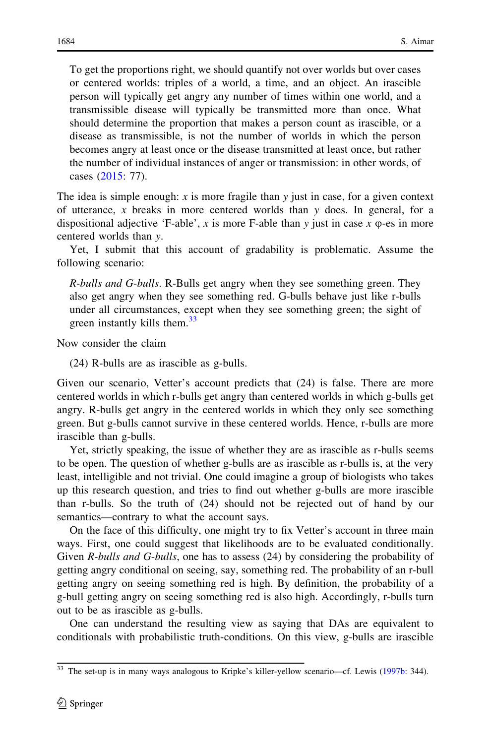To get the proportions right, we should quantify not over worlds but over cases or centered worlds: triples of a world, a time, and an object. An irascible person will typically get angry any number of times within one world, and a transmissible disease will typically be transmitted more than once. What should determine the proportion that makes a person count as irascible, or a disease as transmissible, is not the number of worlds in which the person becomes angry at least once or the disease transmitted at least once, but rather the number of individual instances of anger or transmission: in other words, of cases [\(2015](#page-25-0): 77).

The idea is simple enough:  $x$  is more fragile than  $y$  just in case, for a given context of utterance,  $x$  breaks in more centered worlds than  $y$  does. In general, for a dispositional adjective 'F-able', x is more F-able than y just in case  $x \varphi$ -es in more centered worlds than y.

Yet, I submit that this account of gradability is problematic. Assume the following scenario:

R-bulls and G-bulls. R-Bulls get angry when they see something green. They also get angry when they see something red. G-bulls behave just like r-bulls under all circumstances, except when they see something green; the sight of green instantly kills them.<sup>33</sup>

Now consider the claim

(24) R-bulls are as irascible as g-bulls.

Given our scenario, Vetter's account predicts that (24) is false. There are more centered worlds in which r-bulls get angry than centered worlds in which g-bulls get angry. R-bulls get angry in the centered worlds in which they only see something green. But g-bulls cannot survive in these centered worlds. Hence, r-bulls are more irascible than g-bulls.

Yet, strictly speaking, the issue of whether they are as irascible as r-bulls seems to be open. The question of whether g-bulls are as irascible as r-bulls is, at the very least, intelligible and not trivial. One could imagine a group of biologists who takes up this research question, and tries to find out whether g-bulls are more irascible than r-bulls. So the truth of (24) should not be rejected out of hand by our semantics—contrary to what the account says.

On the face of this difficulty, one might try to fix Vetter's account in three main ways. First, one could suggest that likelihoods are to be evaluated conditionally. Given R-bulls and G-bulls, one has to assess  $(24)$  by considering the probability of getting angry conditional on seeing, say, something red. The probability of an r-bull getting angry on seeing something red is high. By definition, the probability of a g-bull getting angry on seeing something red is also high. Accordingly, r-bulls turn out to be as irascible as g-bulls.

One can understand the resulting view as saying that DAs are equivalent to conditionals with probabilistic truth-conditions. On this view, g-bulls are irascible

<sup>&</sup>lt;sup>33</sup> The set-up is in many ways analogous to Kripke's killer-yellow scenario—cf. Lewis ([1997b](#page-24-0): 344).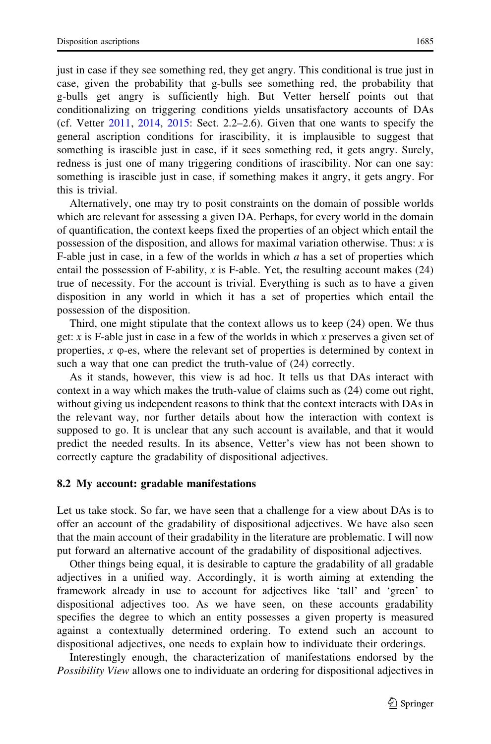<span id="page-18-0"></span>just in case if they see something red, they get angry. This conditional is true just in case, given the probability that g-bulls see something red, the probability that g-bulls get angry is sufficiently high. But Vetter herself points out that conditionalizing on triggering conditions yields unsatisfactory accounts of DAs (cf. Vetter [2011](#page-24-0), [2014](#page-24-0), [2015:](#page-25-0) Sect. 2.2–2.6). Given that one wants to specify the general ascription conditions for irascibility, it is implausible to suggest that something is irascible just in case, if it sees something red, it gets angry. Surely, redness is just one of many triggering conditions of irascibility. Nor can one say: something is irascible just in case, if something makes it angry, it gets angry. For this is trivial.

Alternatively, one may try to posit constraints on the domain of possible worlds which are relevant for assessing a given DA. Perhaps, for every world in the domain of quantification, the context keeps fixed the properties of an object which entail the possession of the disposition, and allows for maximal variation otherwise. Thus:  $x$  is F-able just in case, in a few of the worlds in which  $a$  has a set of properties which entail the possession of F-ability, x is F-able. Yet, the resulting account makes  $(24)$ true of necessity. For the account is trivial. Everything is such as to have a given disposition in any world in which it has a set of properties which entail the possession of the disposition.

Third, one might stipulate that the context allows us to keep (24) open. We thus get: x is F-able just in case in a few of the worlds in which x preserves a given set of properties,  $x \varphi$ -es, where the relevant set of properties is determined by context in such a way that one can predict the truth-value of (24) correctly.

As it stands, however, this view is ad hoc. It tells us that DAs interact with context in a way which makes the truth-value of claims such as (24) come out right, without giving us independent reasons to think that the context interacts with DAs in the relevant way, nor further details about how the interaction with context is supposed to go. It is unclear that any such account is available, and that it would predict the needed results. In its absence, Vetter's view has not been shown to correctly capture the gradability of dispositional adjectives.

#### 8.2 My account: gradable manifestations

Let us take stock. So far, we have seen that a challenge for a view about DAs is to offer an account of the gradability of dispositional adjectives. We have also seen that the main account of their gradability in the literature are problematic. I will now put forward an alternative account of the gradability of dispositional adjectives.

Other things being equal, it is desirable to capture the gradability of all gradable adjectives in a unified way. Accordingly, it is worth aiming at extending the framework already in use to account for adjectives like 'tall' and 'green' to dispositional adjectives too. As we have seen, on these accounts gradability specifies the degree to which an entity possesses a given property is measured against a contextually determined ordering. To extend such an account to dispositional adjectives, one needs to explain how to individuate their orderings.

Interestingly enough, the characterization of manifestations endorsed by the Possibility View allows one to individuate an ordering for dispositional adjectives in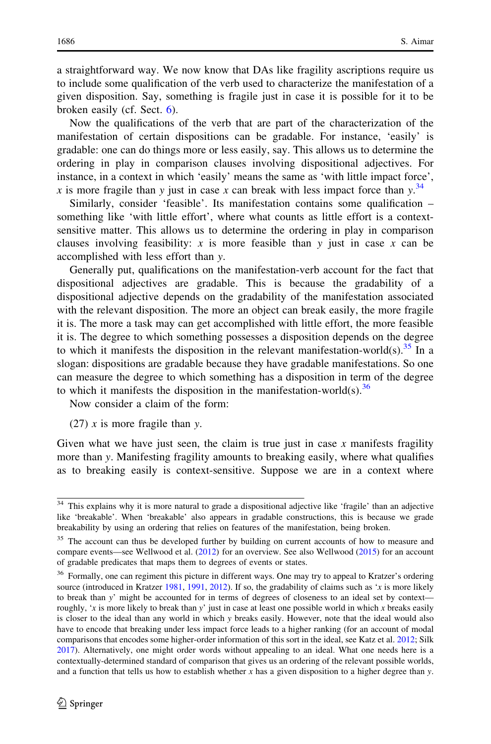a straightforward way. We now know that DAs like fragility ascriptions require us to include some qualification of the verb used to characterize the manifestation of a given disposition. Say, something is fragile just in case it is possible for it to be broken easily (cf. Sect.  $6$ ).

Now the qualifications of the verb that are part of the characterization of the manifestation of certain dispositions can be gradable. For instance, 'easily' is gradable: one can do things more or less easily, say. This allows us to determine the ordering in play in comparison clauses involving dispositional adjectives. For instance, in a context in which 'easily' means the same as 'with little impact force', x is more fragile than y just in case x can break with less impact force than y.<sup>34</sup>

Similarly, consider 'feasible'. Its manifestation contains some qualification – something like 'with little effort', where what counts as little effort is a contextsensitive matter. This allows us to determine the ordering in play in comparison clauses involving feasibility: x is more feasible than y just in case x can be accomplished with less effort than y.

Generally put, qualifications on the manifestation-verb account for the fact that dispositional adjectives are gradable. This is because the gradability of a dispositional adjective depends on the gradability of the manifestation associated with the relevant disposition. The more an object can break easily, the more fragile it is. The more a task may can get accomplished with little effort, the more feasible it is. The degree to which something possesses a disposition depends on the degree to which it manifests the disposition in the relevant manifestation-world(s).<sup>35</sup> In a slogan: dispositions are gradable because they have gradable manifestations. So one can measure the degree to which something has a disposition in term of the degree to which it manifests the disposition in the manifestation-world(s).<sup>36</sup>

Now consider a claim of the form:

 $(27)$  x is more fragile than y.

Given what we have just seen, the claim is true just in case x manifests fragility more than y. Manifesting fragility amounts to breaking easily, where what qualifies as to breaking easily is context-sensitive. Suppose we are in a context where

<sup>&</sup>lt;sup>34</sup> This explains why it is more natural to grade a dispositional adjective like 'fragile' than an adjective like 'breakable'. When 'breakable' also appears in gradable constructions, this is because we grade breakability by using an ordering that relies on features of the manifestation, being broken.

<sup>&</sup>lt;sup>35</sup> The account can thus be developed further by building on current accounts of how to measure and compare events—see Wellwood et al. ([2012\)](#page-25-0) for an overview. See also Wellwood [\(2015](#page-25-0)) for an account of gradable predicates that maps them to degrees of events or states.

<sup>&</sup>lt;sup>36</sup> Formally, one can regiment this picture in different ways. One may try to appeal to Kratzer's ordering source (introduced in Kratzer [1981](#page-24-0), [1991,](#page-24-0) [2012\)](#page-24-0). If so, the gradability of claims such as 'x is more likely to break than y' might be accounted for in terms of degrees of closeness to an ideal set by context roughly, 'x is more likely to break than  $y'$  just in case at least one possible world in which x breaks easily is closer to the ideal than any world in which y breaks easily. However, note that the ideal would also have to encode that breaking under less impact force leads to a higher ranking (for an account of modal comparisons that encodes some higher-order information of this sort in the ideal, see Katz et al. [2012](#page-23-0); Silk [2017\)](#page-24-0). Alternatively, one might order words without appealing to an ideal. What one needs here is a contextually-determined standard of comparison that gives us an ordering of the relevant possible worlds, and a function that tells us how to establish whether x has a given disposition to a higher degree than y.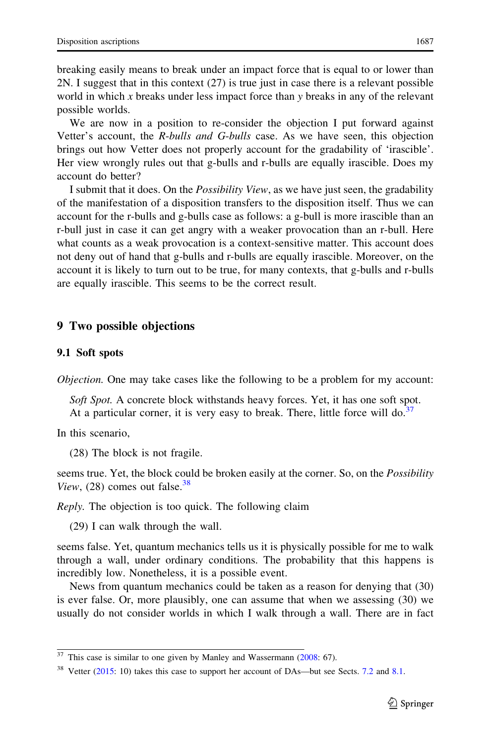<span id="page-20-0"></span>breaking easily means to break under an impact force that is equal to or lower than 2N. I suggest that in this context (27) is true just in case there is a relevant possible world in which x breaks under less impact force than  $\nu$  breaks in any of the relevant possible worlds.

We are now in a position to re-consider the objection I put forward against Vetter's account, the R-bulls and G-bulls case. As we have seen, this objection brings out how Vetter does not properly account for the gradability of 'irascible'. Her view wrongly rules out that g-bulls and r-bulls are equally irascible. Does my account do better?

I submit that it does. On the Possibility View, as we have just seen, the gradability of the manifestation of a disposition transfers to the disposition itself. Thus we can account for the r-bulls and g-bulls case as follows: a g-bull is more irascible than an r-bull just in case it can get angry with a weaker provocation than an r-bull. Here what counts as a weak provocation is a context-sensitive matter. This account does not deny out of hand that g-bulls and r-bulls are equally irascible. Moreover, on the account it is likely to turn out to be true, for many contexts, that g-bulls and r-bulls are equally irascible. This seems to be the correct result.

# 9 Two possible objections

#### 9.1 Soft spots

Objection. One may take cases like the following to be a problem for my account:

Soft Spot. A concrete block withstands heavy forces. Yet, it has one soft spot. At a particular corner, it is very easy to break. There, little force will do.<sup>37</sup>

In this scenario,

(28) The block is not fragile.

seems true. Yet, the block could be broken easily at the corner. So, on the *Possibility* View,  $(28)$  comes out false.<sup>38</sup>

*Reply*. The objection is too quick. The following claim

(29) I can walk through the wall.

seems false. Yet, quantum mechanics tells us it is physically possible for me to walk through a wall, under ordinary conditions. The probability that this happens is incredibly low. Nonetheless, it is a possible event.

News from quantum mechanics could be taken as a reason for denying that (30) is ever false. Or, more plausibly, one can assume that when we assessing (30) we usually do not consider worlds in which I walk through a wall. There are in fact

 $37$  This case is similar to one given by Manley and Wassermann ([2008](#page-24-0): 67).

 $38$  Vetter [\(2015](#page-25-0): 10) takes this case to support her account of DAs—but see Sects. [7.2](#page-14-0) and [8.1](#page-16-0).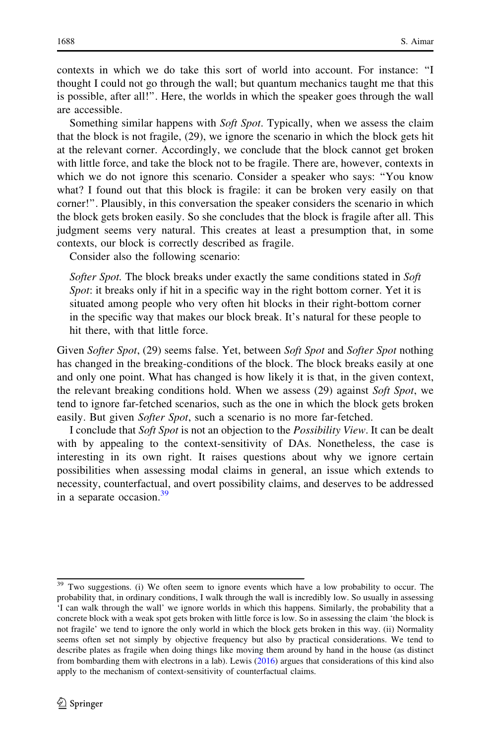contexts in which we do take this sort of world into account. For instance: ''I thought I could not go through the wall; but quantum mechanics taught me that this is possible, after all!''. Here, the worlds in which the speaker goes through the wall are accessible.

Something similar happens with Soft Spot. Typically, when we assess the claim that the block is not fragile, (29), we ignore the scenario in which the block gets hit at the relevant corner. Accordingly, we conclude that the block cannot get broken with little force, and take the block not to be fragile. There are, however, contexts in which we do not ignore this scenario. Consider a speaker who says: ''You know what? I found out that this block is fragile: it can be broken very easily on that corner!''. Plausibly, in this conversation the speaker considers the scenario in which the block gets broken easily. So she concludes that the block is fragile after all. This judgment seems very natural. This creates at least a presumption that, in some contexts, our block is correctly described as fragile.

Consider also the following scenario:

Softer Spot. The block breaks under exactly the same conditions stated in Soft Spot: it breaks only if hit in a specific way in the right bottom corner. Yet it is situated among people who very often hit blocks in their right-bottom corner in the specific way that makes our block break. It's natural for these people to hit there, with that little force.

Given Softer Spot, (29) seems false. Yet, between Soft Spot and Softer Spot nothing has changed in the breaking-conditions of the block. The block breaks easily at one and only one point. What has changed is how likely it is that, in the given context, the relevant breaking conditions hold. When we assess (29) against Soft Spot, we tend to ignore far-fetched scenarios, such as the one in which the block gets broken easily. But given *Softer Spot*, such a scenario is no more far-fetched.

I conclude that Soft Spot is not an objection to the Possibility View. It can be dealt with by appealing to the context-sensitivity of DAs. Nonetheless, the case is interesting in its own right. It raises questions about why we ignore certain possibilities when assessing modal claims in general, an issue which extends to necessity, counterfactual, and overt possibility claims, and deserves to be addressed in a separate occasion. $39$ 

<sup>&</sup>lt;sup>39</sup> Two suggestions. (i) We often seem to ignore events which have a low probability to occur. The probability that, in ordinary conditions, I walk through the wall is incredibly low. So usually in assessing 'I can walk through the wall' we ignore worlds in which this happens. Similarly, the probability that a concrete block with a weak spot gets broken with little force is low. So in assessing the claim 'the block is not fragile' we tend to ignore the only world in which the block gets broken in this way. (ii) Normality seems often set not simply by objective frequency but also by practical considerations. We tend to describe plates as fragile when doing things like moving them around by hand in the house (as distinct from bombarding them with electrons in a lab). Lewis [\(2016](#page-24-0)) argues that considerations of this kind also apply to the mechanism of context-sensitivity of counterfactual claims.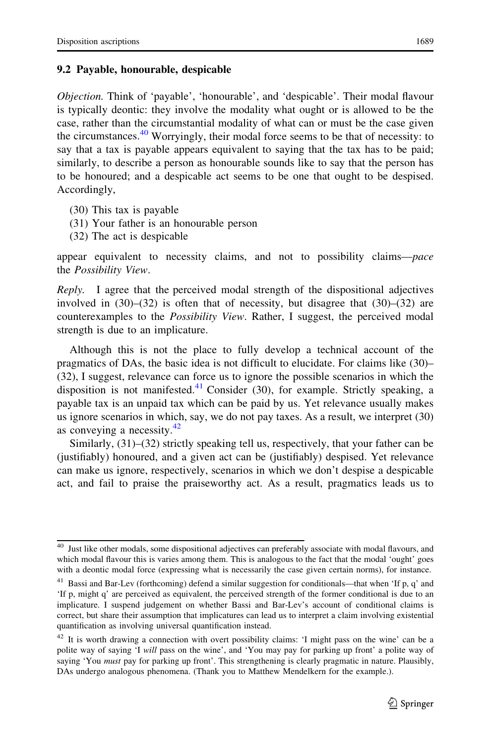#### 9.2 Payable, honourable, despicable

Objection. Think of 'payable', 'honourable', and 'despicable'. Their modal flavour is typically deontic: they involve the modality what ought or is allowed to be the case, rather than the circumstantial modality of what can or must be the case given the circumstances.<sup>40</sup> Worryingly, their modal force seems to be that of necessity: to say that a tax is payable appears equivalent to saying that the tax has to be paid; similarly, to describe a person as honourable sounds like to say that the person has to be honoured; and a despicable act seems to be one that ought to be despised. Accordingly,

- (30) This tax is payable
- (31) Your father is an honourable person
- (32) The act is despicable

appear equivalent to necessity claims, and not to possibility claims-pace the Possibility View.

Reply. I agree that the perceived modal strength of the dispositional adjectives involved in  $(30)$ – $(32)$  is often that of necessity, but disagree that  $(30)$ – $(32)$  are counterexamples to the *Possibility View*. Rather, I suggest, the perceived modal strength is due to an implicature.

Although this is not the place to fully develop a technical account of the pragmatics of DAs, the basic idea is not difficult to elucidate. For claims like (30)– (32), I suggest, relevance can force us to ignore the possible scenarios in which the disposition is not manifested.<sup>41</sup> Consider (30), for example. Strictly speaking, a payable tax is an unpaid tax which can be paid by us. Yet relevance usually makes us ignore scenarios in which, say, we do not pay taxes. As a result, we interpret (30) as conveying a necessity.<sup>42</sup>

Similarly, (31)–(32) strictly speaking tell us, respectively, that your father can be (justifiably) honoured, and a given act can be (justifiably) despised. Yet relevance can make us ignore, respectively, scenarios in which we don't despise a despicable act, and fail to praise the praiseworthy act. As a result, pragmatics leads us to

<sup>&</sup>lt;sup>40</sup> Just like other modals, some dispositional adjectives can preferably associate with modal flavours, and which modal flavour this is varies among them. This is analogous to the fact that the modal 'ought' goes with a deontic modal force (expressing what is necessarily the case given certain norms), for instance.

<sup>41</sup> Bassi and Bar-Lev (forthcoming) defend a similar suggestion for conditionals—that when 'If p, q' and 'If p, might q' are perceived as equivalent, the perceived strength of the former conditional is due to an implicature. I suspend judgement on whether Bassi and Bar-Lev's account of conditional claims is correct, but share their assumption that implicatures can lead us to interpret a claim involving existential quantification as involving universal quantification instead.

<sup>&</sup>lt;sup>42</sup> It is worth drawing a connection with overt possibility claims: 'I might pass on the wine' can be a polite way of saying 'I will pass on the wine', and 'You may pay for parking up front' a polite way of saying 'You *must* pay for parking up front'. This strengthening is clearly pragmatic in nature. Plausibly, DAs undergo analogous phenomena. (Thank you to Matthew Mendelkern for the example.).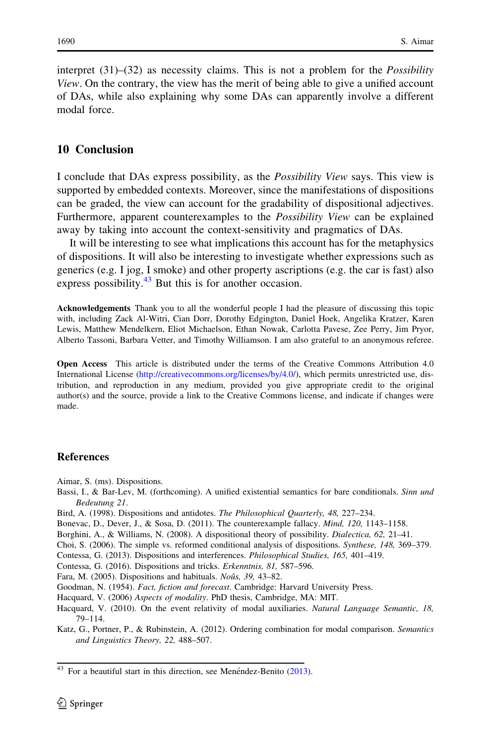<span id="page-23-0"></span>interpret  $(31)$ – $(32)$  as necessity claims. This is not a problem for the *Possibility* View. On the contrary, the view has the merit of being able to give a unified account of DAs, while also explaining why some DAs can apparently involve a different modal force.

### 10 Conclusion

I conclude that DAs express possibility, as the Possibility View says. This view is supported by embedded contexts. Moreover, since the manifestations of dispositions can be graded, the view can account for the gradability of dispositional adjectives. Furthermore, apparent counterexamples to the Possibility View can be explained away by taking into account the context-sensitivity and pragmatics of DAs.

It will be interesting to see what implications this account has for the metaphysics of dispositions. It will also be interesting to investigate whether expressions such as generics (e.g. I jog, I smoke) and other property ascriptions (e.g. the car is fast) also express possibility. $43$  But this is for another occasion.

Acknowledgements Thank you to all the wonderful people I had the pleasure of discussing this topic with, including Zack Al-Witri, Cian Dorr, Dorothy Edgington, Daniel Hoek, Angelika Kratzer, Karen Lewis, Matthew Mendelkern, Eliot Michaelson, Ethan Nowak, Carlotta Pavese, Zee Perry, Jim Pryor, Alberto Tassoni, Barbara Vetter, and Timothy Williamson. I am also grateful to an anonymous referee.

Open Access This article is distributed under the terms of the Creative Commons Attribution 4.0 International License ([http://creativecommons.org/licenses/by/4.0/\)](http://creativecommons.org/licenses/by/4.0/), which permits unrestricted use, distribution, and reproduction in any medium, provided you give appropriate credit to the original author(s) and the source, provide a link to the Creative Commons license, and indicate if changes were made.

#### **References**

- Aimar, S. (ms). Dispositions.
- Bassi, I., & Bar-Lev, M. (forthcoming). A unified existential semantics for bare conditionals. Sinn und Bedeutung 21.
- Bird, A. (1998). Dispositions and antidotes. The Philosophical Quarterly, 48, 227–234.
- Bonevac, D., Dever, J., & Sosa, D. (2011). The counterexample fallacy. Mind, 120, 1143–1158.
- Borghini, A., & Williams, N. (2008). A dispositional theory of possibility. Dialectica, 62, 21–41.
- Choi, S. (2006). The simple vs. reformed conditional analysis of dispositions. Synthese, 148, 369–379.
- Contessa, G. (2013). Dispositions and interferences. Philosophical Studies, 165, 401–419.
- Contessa, G. (2016). Dispositions and tricks. Erkenntnis, 81, 587–596.

Fara, M. (2005). Dispositions and habituals. Noûs, 39, 43-82.

Goodman, N. (1954). Fact, fiction and forecast. Cambridge: Harvard University Press.

- Hacquard, V. (2006) Aspects of modality. PhD thesis, Cambridge, MA: MIT.
- Hacquard, V. (2010). On the event relativity of modal auxiliaries. Natural Language Semantic, 18, 79–114.
- Katz, G., Portner, P., & Rubinstein, A. (2012). Ordering combination for modal comparison. Semantics and Linguistics Theory, 22, 488–507.

 $43$  For a beautiful start in this direction, see Menéndez-Benito ([2013\)](#page-24-0).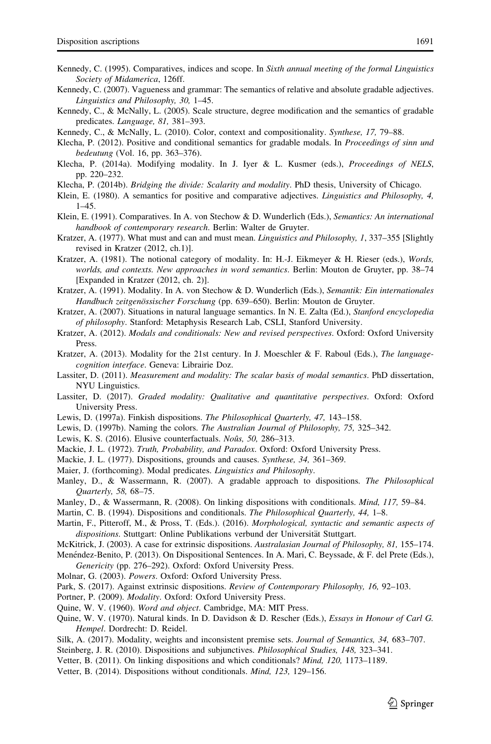- <span id="page-24-0"></span>Kennedy, C. (1995). Comparatives, indices and scope. In Sixth annual meeting of the formal Linguistics Society of Midamerica, 126ff.
- Kennedy, C. (2007). Vagueness and grammar: The semantics of relative and absolute gradable adjectives. Linguistics and Philosophy, 30, 1–45.
- Kennedy, C., & McNally, L. (2005). Scale structure, degree modification and the semantics of gradable predicates. Language, 81, 381–393.
- Kennedy, C., & McNally, L. (2010). Color, context and compositionality. Synthese, 17, 79–88.
- Klecha, P. (2012). Positive and conditional semantics for gradable modals. In *Proceedings of sinn und* bedeutung (Vol. 16, pp. 363–376).
- Klecha, P. (2014a). Modifying modality. In J. Iyer & L. Kusmer (eds.), *Proceedings of NELS*, pp. 220–232.
- Klecha, P. (2014b). Bridging the divide: Scalarity and modality. PhD thesis, University of Chicago.
- Klein, E. (1980). A semantics for positive and comparative adjectives. Linguistics and Philosophy, 4, 1–45.
- Klein, E. (1991). Comparatives. In A. von Stechow & D. Wunderlich (Eds.), Semantics: An international handbook of contemporary research. Berlin: Walter de Gruyter.
- Kratzer, A. (1977). What must and can and must mean. *Linguistics and Philosophy*, 1, 337–355 [Slightly revised in Kratzer (2012, ch.1)].
- Kratzer, A. (1981). The notional category of modality. In: H.-J. Eikmeyer & H. Rieser (eds.), Words, worlds, and contexts. New approaches in word semantics. Berlin: Mouton de Gruyter, pp. 38–74 [Expanded in Kratzer (2012, ch. 2)].
- Kratzer, A. (1991). Modality. In A. von Stechow & D. Wunderlich (Eds.), Semantik: Ein internationales Handbuch zeitgenössischer Forschung (pp. 639–650). Berlin: Mouton de Gruyter.
- Kratzer, A. (2007). Situations in natural language semantics. In N. E. Zalta (Ed.), Stanford encyclopedia of philosophy. Stanford: Metaphysis Research Lab, CSLI, Stanford University.
- Kratzer, A. (2012). Modals and conditionals: New and revised perspectives. Oxford: Oxford University Press.
- Kratzer, A. (2013). Modality for the 21st century. In J. Moeschler & F. Raboul (Eds.), The languagecognition interface. Geneva: Librairie Doz.
- Lassiter, D. (2011). Measurement and modality: The scalar basis of modal semantics. PhD dissertation, NYU Linguistics.
- Lassiter, D. (2017). Graded modality: Qualitative and quantitative perspectives. Oxford: Oxford University Press.
- Lewis, D. (1997a). Finkish dispositions. The Philosophical Quarterly, 47, 143–158.
- Lewis, D. (1997b). Naming the colors. The Australian Journal of Philosophy, 75, 325–342.
- Lewis, K. S. (2016). Elusive counterfactuals. Noûs, 50, 286–313.
- Mackie, J. L. (1972). Truth, Probability, and Paradox. Oxford: Oxford University Press.
- Mackie, J. L. (1977). Dispositions, grounds and causes. Synthese, 34, 361–369.
- Maier, J. (forthcoming). Modal predicates. Linguistics and Philosophy.
- Manley, D., & Wassermann, R. (2007). A gradable approach to dispositions. The Philosophical Quarterly, 58, 68–75.
- Manley, D., & Wassermann, R. (2008). On linking dispositions with conditionals. Mind, 117, 59–84.

Martin, C. B. (1994). Dispositions and conditionals. The Philosophical Quarterly, 44, 1–8.

- Martin, F., Pitteroff, M., & Pross, T. (Eds.). (2016). Morphological, syntactic and semantic aspects of dispositions. Stuttgart: Online Publikations verbund der Universität Stuttgart.
- McKitrick, J. (2003). A case for extrinsic dispositions. Australasian Journal of Philosophy, 81, 155–174.
- Menéndez-Benito, P. (2013). On Dispositional Sentences. In A. Mari, C. Beyssade, & F. del Prete (Eds.), Genericity (pp. 276–292). Oxford: Oxford University Press.
- Molnar, G. (2003). Powers. Oxford: Oxford University Press.
- Park, S. (2017). Against extrinsic dispositions. Review of Contemporary Philosophy, 16, 92-103.
- Portner, P. (2009). Modality. Oxford: Oxford University Press.
- Quine, W. V. (1960). Word and object. Cambridge, MA: MIT Press.
- Quine, W. V. (1970). Natural kinds. In D. Davidson & D. Rescher (Eds.), Essays in Honour of Carl G. Hempel. Dordrecht: D. Reidel.
- Silk, A. (2017). Modality, weights and inconsistent premise sets. Journal of Semantics, 34, 683–707.
- Steinberg, J. R. (2010). Dispositions and subjunctives. Philosophical Studies, 148, 323–341.
- Vetter, B. (2011). On linking dispositions and which conditionals? Mind, 120, 1173–1189.
- Vetter, B. (2014). Dispositions without conditionals. Mind, 123, 129–156.